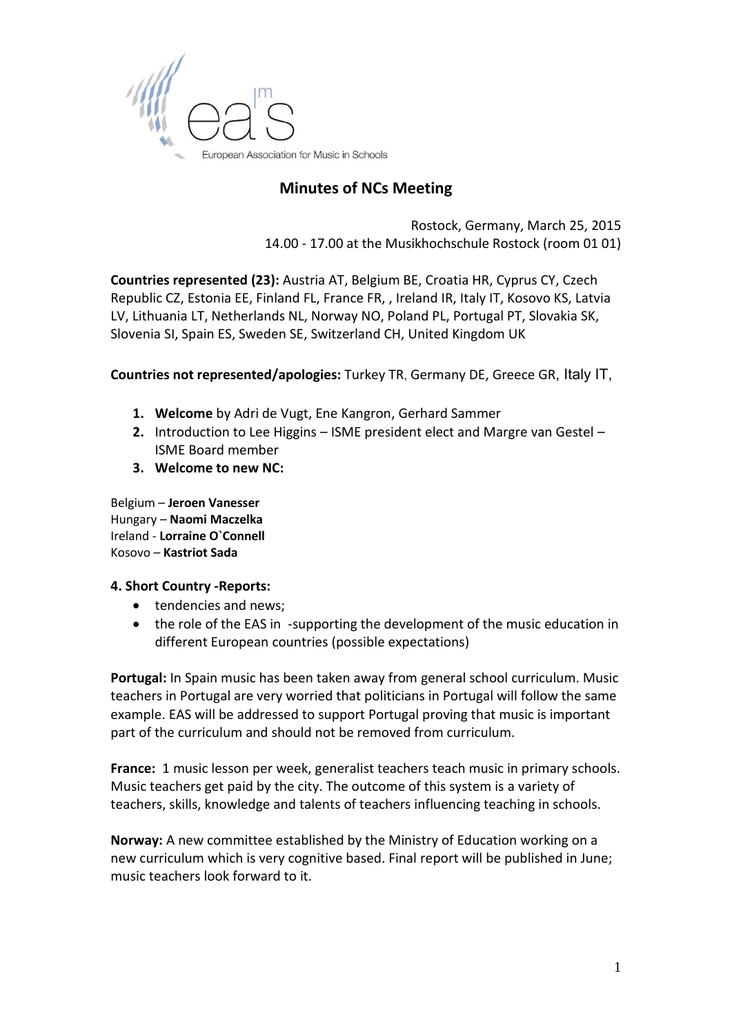

## **Minutes of NCs Meeting**

Rostock, Germany, March 25, 2015 14.00 - 17.00 at the Musikhochschule Rostock (room 01 01)

**Countries represented (23):** [Austria AT,](http://www.eas-music.org/countries/austria-at/) [Belgium BE,](http://www.eas-music.org/countries/belgium-be/) [Croatia HR,](http://www.eas-music.org/countries/croatia-hr/news-events/) [Cyprus CY,](http://www.eas-music.org/countries/cyprus-cy/national-coordinator/) [Czech](http://www.eas-music.org/countries/czech-republic-cz/national-coordinator/)  [Republic CZ,](http://www.eas-music.org/countries/czech-republic-cz/national-coordinator/) [Estonia EE,](http://www.eas-music.org/countries/estonia-ee/) [Finland FL,](http://www.eas-music.org/countries/finland-fl/national-coordinator/) [France FR,](http://www.eas-music.org/countries/france-fr/) , [Ireland IR,](http://www.eas-music.org/countries/ireland-ir/) [Italy IT,](http://www.eas-music.org/countries/italy-it/) [Kosovo KS,](http://www.eas-music.org/countries/kosovo-ks/) [Latvia](http://www.eas-music.org/countries/latvia-lv/)  [LV,](http://www.eas-music.org/countries/latvia-lv/) [Lithuania LT,](http://www.eas-music.org/countries/lithuania-lt/national-coordinator/) [Netherlands NL,](http://www.eas-music.org/countries/netherlands-nl/) [Norway NO,](http://www.eas-music.org/countries/norway-no/music-education/) [Poland PL,](http://www.eas-music.org/countries/poland-pl/) [Portugal PT,](http://www.eas-music.org/countries/portugal-pt/) [Slovakia SK,](http://www.eas-music.org/countries/slovakia-sk/) [Slovenia SI,](http://www.eas-music.org/countries/slovenia-si/) [Spain ES,](http://www.eas-music.org/countries/spain-es/) [Sweden SE,](http://www.eas-music.org/countries/sweden-se/) [Switzerland CH,](http://www.eas-music.org/countries/switzerland-ch/) [United Kingdom UK](http://www.eas-music.org/countries/united-kingdom-uk/national-coordinator/)

**Countries not represented/apologies:** [Turkey TR](http://www.eas-music.org/countries/turkey-tr/), [Germany DE,](http://www.eas-music.org/countries/germany-de/) [Greece GR](http://www.eas-music.org/countries/greece-gr/), Italy IT,

- **1. Welcome** by Adri de Vugt, Ene Kangron, Gerhard Sammer
- **2.** Introduction to Lee Higgins ISME president elect and Margre van Gestel ISME Board member
- **3. Welcome to new NC:**

Belgium – **Jeroen Vanesser** Hungary – **Naomi Maczelka** Ireland - **Lorraine O`Connell** Kosovo – **Kastriot Sada**

#### **4. Short Country -Reports:**

- tendencies and news;
- the role of the EAS in -supporting the development of the music education in different European countries (possible expectations)

**Portugal:** In Spain music has been taken away from general school curriculum. Music teachers in Portugal are very worried that politicians in Portugal will follow the same example. EAS will be addressed to support Portugal proving that music is important part of the curriculum and should not be removed from curriculum.

**France:** 1 music lesson per week, generalist teachers teach music in primary schools. Music teachers get paid by the city. The outcome of this system is a variety of teachers, skills, knowledge and talents of teachers influencing teaching in schools.

**Norway:** A new committee established by the Ministry of Education working on a new curriculum which is very cognitive based. Final report will be published in June; music teachers look forward to it.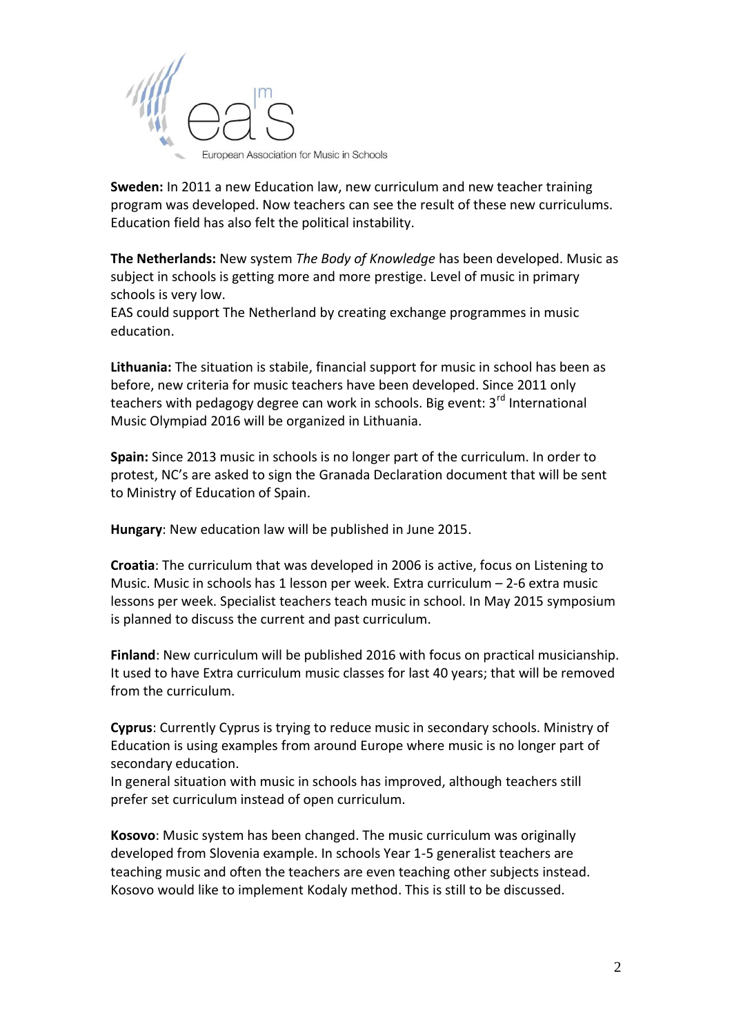

**Sweden:** In 2011 a new Education law, new curriculum and new teacher training program was developed. Now teachers can see the result of these new curriculums. Education field has also felt the political instability.

**The Netherlands:** New system *The Body of Knowledge* has been developed. Music as subject in schools is getting more and more prestige. Level of music in primary schools is very low.

EAS could support The Netherland by creating exchange programmes in music education.

**Lithuania:** The situation is stabile, financial support for music in school has been as before, new criteria for music teachers have been developed. Since 2011 only teachers with pedagogy degree can work in schools. Big event: 3<sup>rd</sup> International Music Olympiad 2016 will be organized in Lithuania.

**Spain:** Since 2013 music in schools is no longer part of the curriculum. In order to protest, NC's are asked to sign the Granada Declaration document that will be sent to Ministry of Education of Spain.

**Hungary**: New education law will be published in June 2015.

**Croatia**: The curriculum that was developed in 2006 is active, focus on Listening to Music. Music in schools has 1 lesson per week. Extra curriculum – 2-6 extra music lessons per week. Specialist teachers teach music in school. In May 2015 symposium is planned to discuss the current and past curriculum.

**Finland**: New curriculum will be published 2016 with focus on practical musicianship. It used to have Extra curriculum music classes for last 40 years; that will be removed from the curriculum.

**Cyprus**: Currently Cyprus is trying to reduce music in secondary schools. Ministry of Education is using examples from around Europe where music is no longer part of secondary education.

In general situation with music in schools has improved, although teachers still prefer set curriculum instead of open curriculum.

**Kosovo**: Music system has been changed. The music curriculum was originally developed from Slovenia example. In schools Year 1-5 generalist teachers are teaching music and often the teachers are even teaching other subjects instead. Kosovo would like to implement Kodaly method. This is still to be discussed.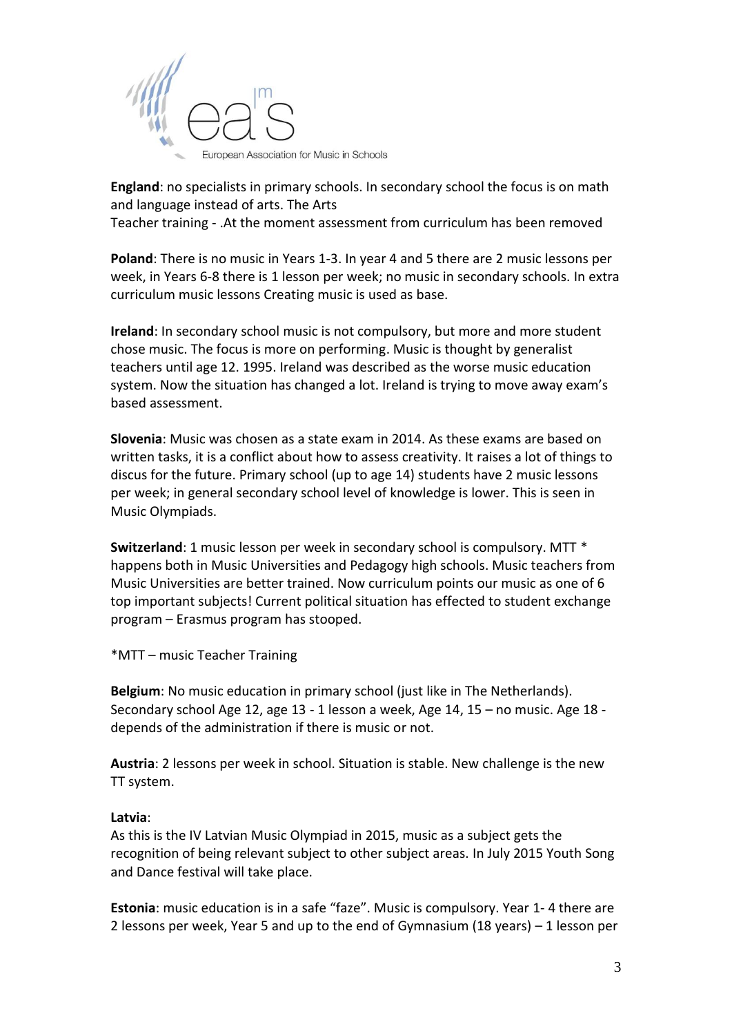

**England**: no specialists in primary schools. In secondary school the focus is on math and language instead of arts. The Arts

Teacher training - .At the moment assessment from curriculum has been removed

**Poland**: There is no music in Years 1-3. In year 4 and 5 there are 2 music lessons per week, in Years 6-8 there is 1 lesson per week; no music in secondary schools. In extra curriculum music lessons Creating music is used as base.

**Ireland**: In secondary school music is not compulsory, but more and more student chose music. The focus is more on performing. Music is thought by generalist teachers until age 12. 1995. Ireland was described as the worse music education system. Now the situation has changed a lot. Ireland is trying to move away exam's based assessment.

**Slovenia**: Music was chosen as a state exam in 2014. As these exams are based on written tasks, it is a conflict about how to assess creativity. It raises a lot of things to discus for the future. Primary school (up to age 14) students have 2 music lessons per week; in general secondary school level of knowledge is lower. This is seen in Music Olympiads.

**Switzerland**: 1 music lesson per week in secondary school is compulsory. MTT \* happens both in Music Universities and Pedagogy high schools. Music teachers from Music Universities are better trained. Now curriculum points our music as one of 6 top important subjects! Current political situation has effected to student exchange program – Erasmus program has stooped.

\*MTT – music Teacher Training

**Belgium**: No music education in primary school (just like in The Netherlands). Secondary school Age 12, age 13 - 1 lesson a week, Age 14, 15 – no music. Age 18 depends of the administration if there is music or not.

**Austria**: 2 lessons per week in school. Situation is stable. New challenge is the new TT system.

## **Latvia**:

As this is the IV Latvian Music Olympiad in 2015, music as a subject gets the recognition of being relevant subject to other subject areas. In July 2015 Youth Song and Dance festival will take place.

**Estonia**: music education is in a safe "faze". Music is compulsory. Year 1- 4 there are 2 lessons per week, Year 5 and up to the end of Gymnasium (18 years) – 1 lesson per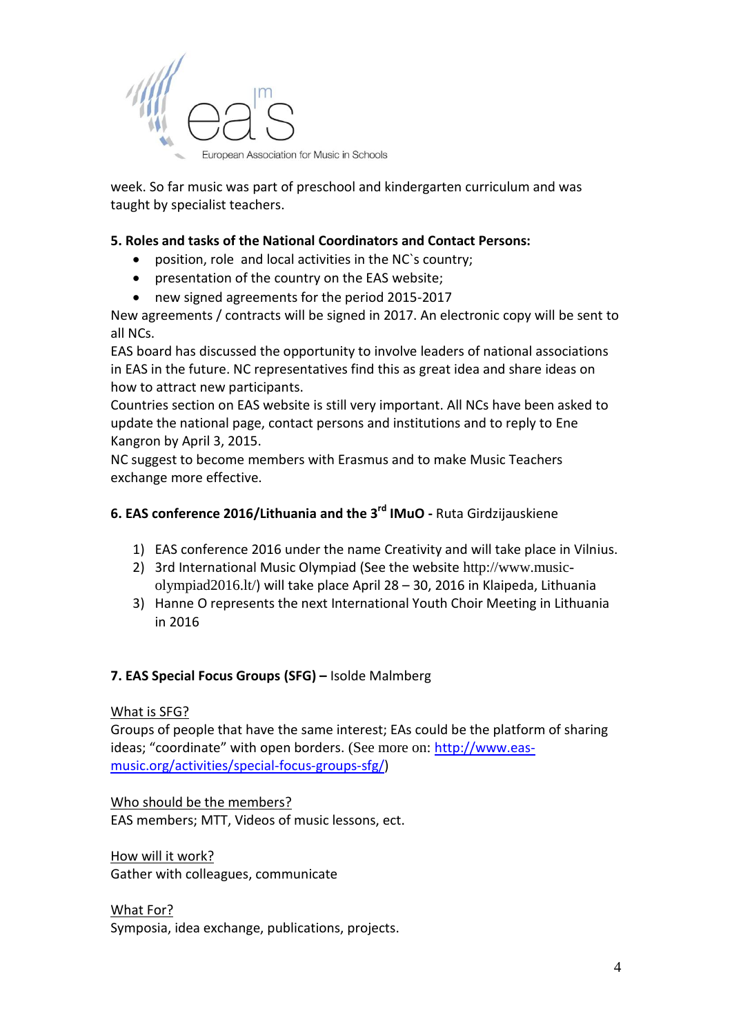

week. So far music was part of preschool and kindergarten curriculum and was taught by specialist teachers.

## **5. Roles and tasks of the National Coordinators and Contact Persons:**

- position, role and local activities in the NC`s country;
- presentation of the country on the EAS website;
- new signed agreements for the period 2015-2017

New agreements / contracts will be signed in 2017. An electronic copy will be sent to all NCs.

EAS board has discussed the opportunity to involve leaders of national associations in EAS in the future. NC representatives find this as great idea and share ideas on how to attract new participants.

Countries section on EAS website is still very important. All NCs have been asked to update the national page, contact persons and institutions and to reply to Ene Kangron by April 3, 2015.

NC suggest to become members with Erasmus and to make Music Teachers exchange more effective.

# **6. EAS conference 2016/Lithuania and the 3rd IMuO -** Ruta Girdzijauskiene

- 1) EAS conference 2016 under the name Creativity and will take place in Vilnius.
- 2) 3rd International Music Olympiad (See the website [http://www.music](http://www.music-olympiad2016.lt/)[olympiad2016.lt/](http://www.music-olympiad2016.lt/)) will take place April 28 – 30, 2016 in Klaipeda, Lithuania
- 3) Hanne O represents the next International Youth Choir Meeting in Lithuania in 2016

#### **7. EAS Special Focus Groups (SFG) –** Isolde Malmberg

What is SFG?

Groups of people that have the same interest; EAs could be the platform of sharing ideas; "coordinate" with open borders. (See more on: [http://www.eas](http://www.eas-music.org/activities/special-focus-groups-sfg/)[music.org/activities/special-focus-groups-sfg/\)](http://www.eas-music.org/activities/special-focus-groups-sfg/)

Who should be the members? EAS members; MTT, Videos of music lessons, ect.

How will it work? Gather with colleagues, communicate

What For?

Symposia, idea exchange, publications, projects.